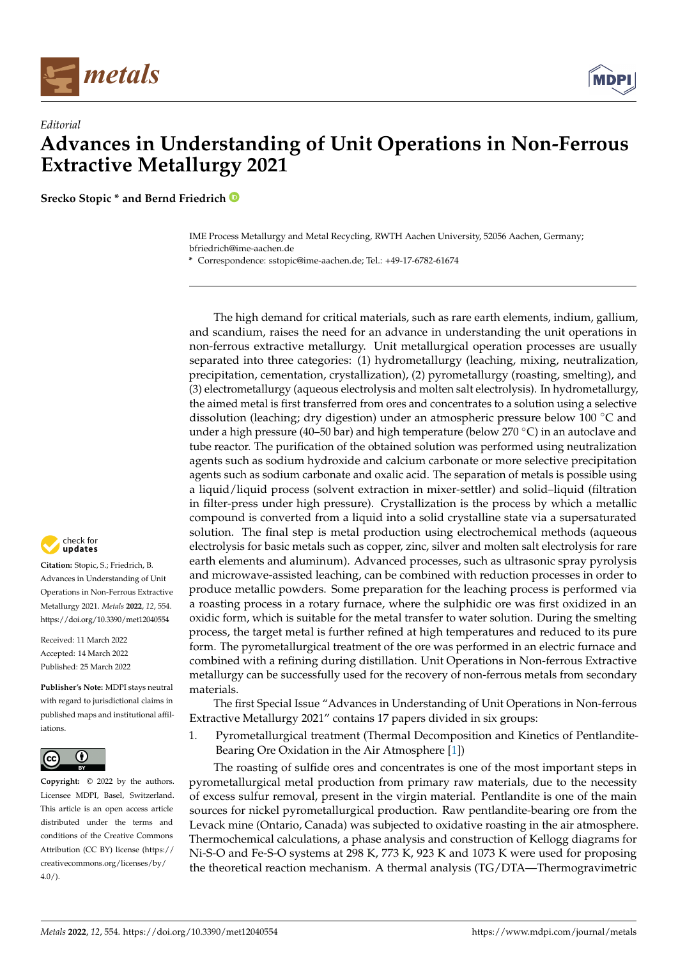



**Srecko Stopic \* and Bernd Friedrich**

IME Process Metallurgy and Metal Recycling, RWTH Aachen University, 52056 Aachen, Germany; bfriedrich@ime-aachen.de

**\*** Correspondence: sstopic@ime-aachen.de; Tel.: +49-17-6782-61674

The high demand for critical materials, such as rare earth elements, indium, gallium, and scandium, raises the need for an advance in understanding the unit operations in non-ferrous extractive metallurgy. Unit metallurgical operation processes are usually separated into three categories: (1) hydrometallurgy (leaching, mixing, neutralization, precipitation, cementation, crystallization), (2) pyrometallurgy (roasting, smelting), and (3) electrometallurgy (aqueous electrolysis and molten salt electrolysis). In hydrometallurgy, the aimed metal is first transferred from ores and concentrates to a solution using a selective dissolution (leaching; dry digestion) under an atmospheric pressure below 100 ◦C and under a high pressure (40–50 bar) and high temperature (below 270  $\degree$ C) in an autoclave and tube reactor. The purification of the obtained solution was performed using neutralization agents such as sodium hydroxide and calcium carbonate or more selective precipitation agents such as sodium carbonate and oxalic acid. The separation of metals is possible using a liquid/liquid process (solvent extraction in mixer-settler) and solid–liquid (filtration in filter-press under high pressure). Crystallization is the process by which a metallic compound is converted from a liquid into a solid crystalline state via a supersaturated solution. The final step is metal production using electrochemical methods (aqueous electrolysis for basic metals such as copper, zinc, silver and molten salt electrolysis for rare earth elements and aluminum). Advanced processes, such as ultrasonic spray pyrolysis and microwave-assisted leaching, can be combined with reduction processes in order to produce metallic powders. Some preparation for the leaching process is performed via a roasting process in a rotary furnace, where the sulphidic ore was first oxidized in an oxidic form, which is suitable for the metal transfer to water solution. During the smelting process, the target metal is further refined at high temperatures and reduced to its pure form. The pyrometallurgical treatment of the ore was performed in an electric furnace and combined with a refining during distillation. Unit Operations in Non-ferrous Extractive metallurgy can be successfully used for the recovery of non-ferrous metals from secondary materials.

The first Special Issue "Advances in Understanding of Unit Operations in Non-ferrous Extractive Metallurgy 2021" contains 17 papers divided in six groups:

1. Pyrometallurgical treatment (Thermal Decomposition and Kinetics of Pentlandite-Bearing Ore Oxidation in the Air Atmosphere [\[1\]](#page-4-0))

The roasting of sulfide ores and concentrates is one of the most important steps in pyrometallurgical metal production from primary raw materials, due to the necessity of excess sulfur removal, present in the virgin material. Pentlandite is one of the main sources for nickel pyrometallurgical production. Raw pentlandite-bearing ore from the Levack mine (Ontario, Canada) was subjected to oxidative roasting in the air atmosphere. Thermochemical calculations, a phase analysis and construction of Kellogg diagrams for Ni-S-O and Fe-S-O systems at 298 K, 773 K, 923 K and 1073 K were used for proposing the theoretical reaction mechanism. A thermal analysis (TG/DTA—Thermogravimetric



**Citation:** Stopic, S.; Friedrich, B. Advances in Understanding of Unit Operations in Non-Ferrous Extractive Metallurgy 2021. *Metals* **2022**, *12*, 554. <https://doi.org/10.3390/met12040554>

Received: 11 March 2022 Accepted: 14 March 2022 Published: 25 March 2022

**Publisher's Note:** MDPI stays neutral with regard to jurisdictional claims in published maps and institutional affiliations.



**Copyright:** © 2022 by the authors. Licensee MDPI, Basel, Switzerland. This article is an open access article distributed under the terms and conditions of the Creative Commons Attribution (CC BY) license [\(https://](https://creativecommons.org/licenses/by/4.0/) [creativecommons.org/licenses/by/](https://creativecommons.org/licenses/by/4.0/)  $4.0/$ ).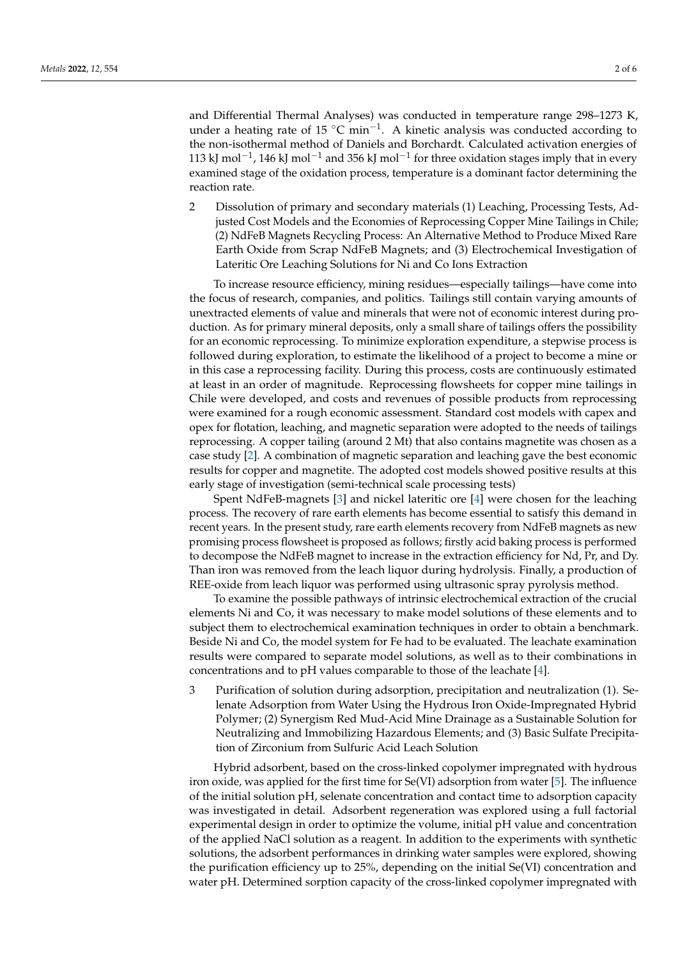and Differential Thermal Analyses) was conducted in temperature range 298–1273 K, under a heating rate of 15 °C min<sup>-1</sup>. A kinetic analysis was conducted according to the non-isothermal method of Daniels and Borchardt. Calculated activation energies of 113 kJ mol<sup>-1</sup>, 146 kJ mol<sup>-1</sup> and 356 kJ mol<sup>-1</sup> for three oxidation stages imply that in every examined stage of the oxidation process, temperature is a dominant factor determining the reaction rate.

2 Dissolution of primary and secondary materials (1) Leaching, Processing Tests, Adjusted Cost Models and the Economies of Reprocessing Copper Mine Tailings in Chile; (2) NdFeB Magnets Recycling Process: An Alternative Method to Produce Mixed Rare Earth Oxide from Scrap NdFeB Magnets; and (3) Electrochemical Investigation of Lateritic Ore Leaching Solutions for Ni and Co Ions Extraction

To increase resource efficiency, mining residues—especially tailings—have come into the focus of research, companies, and politics. Tailings still contain varying amounts of unextracted elements of value and minerals that were not of economic interest during production. As for primary mineral deposits, only a small share of tailings offers the possibility for an economic reprocessing. To minimize exploration expenditure, a stepwise process is followed during exploration, to estimate the likelihood of a project to become a mine or in this case a reprocessing facility. During this process, costs are continuously estimated at least in an order of magnitude. Reprocessing flowsheets for copper mine tailings in Chile were developed, and costs and revenues of possible products from reprocessing were examined for a rough economic assessment. Standard cost models with capex and opex for flotation, leaching, and magnetic separation were adopted to the needs of tailings reprocessing. A copper tailing (around 2 Mt) that also contains magnetite was chosen as a case study [\[2\]](#page-4-1). A combination of magnetic separation and leaching gave the best economic results for copper and magnetite. The adopted cost models showed positive results at this early stage of investigation (semi-technical scale processing tests)

Spent NdFeB-magnets [\[3\]](#page-4-2) and nickel lateritic ore [\[4\]](#page-4-3) were chosen for the leaching process. The recovery of rare earth elements has become essential to satisfy this demand in recent years. In the present study, rare earth elements recovery from NdFeB magnets as new promising process flowsheet is proposed as follows; firstly acid baking process is performed to decompose the NdFeB magnet to increase in the extraction efficiency for Nd, Pr, and Dy. Than iron was removed from the leach liquor during hydrolysis. Finally, a production of REE-oxide from leach liquor was performed using ultrasonic spray pyrolysis method.

To examine the possible pathways of intrinsic electrochemical extraction of the crucial elements Ni and Co, it was necessary to make model solutions of these elements and to subject them to electrochemical examination techniques in order to obtain a benchmark. Beside Ni and Co, the model system for Fe had to be evaluated. The leachate examination results were compared to separate model solutions, as well as to their combinations in concentrations and to pH values comparable to those of the leachate [\[4\]](#page-4-3).

3 Purification of solution during adsorption, precipitation and neutralization (1). Selenate Adsorption from Water Using the Hydrous Iron Oxide-Impregnated Hybrid Polymer; (2) Synergism Red Mud-Acid Mine Drainage as a Sustainable Solution for Neutralizing and Immobilizing Hazardous Elements; and (3) Basic Sulfate Precipitation of Zirconium from Sulfuric Acid Leach Solution

Hybrid adsorbent, based on the cross-linked copolymer impregnated with hydrous iron oxide, was applied for the first time for Se(VI) adsorption from water [\[5\]](#page-4-4). The influence of the initial solution pH, selenate concentration and contact time to adsorption capacity was investigated in detail. Adsorbent regeneration was explored using a full factorial experimental design in order to optimize the volume, initial pH value and concentration of the applied NaCl solution as a reagent. In addition to the experiments with synthetic solutions, the adsorbent performances in drinking water samples were explored, showing the purification efficiency up to 25%, depending on the initial Se(VI) concentration and water pH. Determined sorption capacity of the cross-linked copolymer impregnated with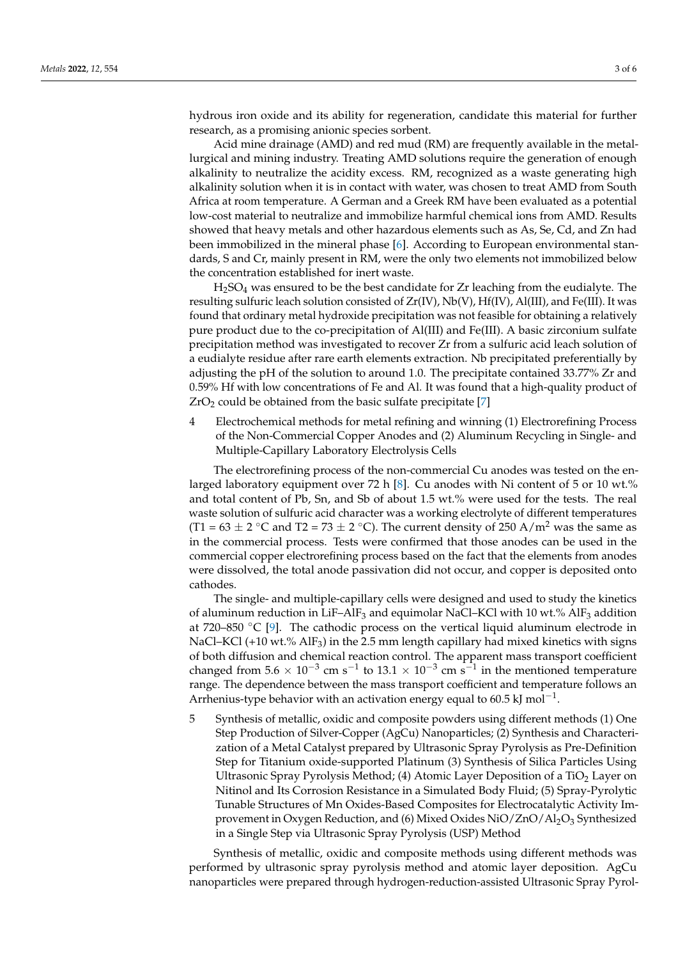hydrous iron oxide and its ability for regeneration, candidate this material for further research, as a promising anionic species sorbent.

Acid mine drainage (AMD) and red mud (RM) are frequently available in the metallurgical and mining industry. Treating AMD solutions require the generation of enough alkalinity to neutralize the acidity excess. RM, recognized as a waste generating high alkalinity solution when it is in contact with water, was chosen to treat AMD from South Africa at room temperature. A German and a Greek RM have been evaluated as a potential low-cost material to neutralize and immobilize harmful chemical ions from AMD. Results showed that heavy metals and other hazardous elements such as As, Se, Cd, and Zn had been immobilized in the mineral phase [\[6\]](#page-4-5). According to European environmental standards, S and Cr, mainly present in RM, were the only two elements not immobilized below the concentration established for inert waste.

H2SO<sup>4</sup> was ensured to be the best candidate for Zr leaching from the eudialyte. The resulting sulfuric leach solution consisted of  $Zr(V)$ ,  $Nb(V)$ ,  $Hf(V)$ ,  $Al(III)$ , and  $Fe(III)$ . It was found that ordinary metal hydroxide precipitation was not feasible for obtaining a relatively pure product due to the co-precipitation of Al(III) and Fe(III). A basic zirconium sulfate precipitation method was investigated to recover Zr from a sulfuric acid leach solution of a eudialyte residue after rare earth elements extraction. Nb precipitated preferentially by adjusting the pH of the solution to around 1.0. The precipitate contained 33.77% Zr and 0.59% Hf with low concentrations of Fe and Al. It was found that a high-quality product of  $ZrO<sub>2</sub>$  could be obtained from the basic sulfate precipitate [\[7\]](#page-5-0)

4 Electrochemical methods for metal refining and winning (1) Electrorefining Process of the Non-Commercial Copper Anodes and (2) Aluminum Recycling in Single- and Multiple-Capillary Laboratory Electrolysis Cells

The electrorefining process of the non-commercial Cu anodes was tested on the enlarged laboratory equipment over 72 h [\[8\]](#page-5-1). Cu anodes with Ni content of 5 or 10 wt.% and total content of Pb, Sn, and Sb of about 1.5 wt.% were used for the tests. The real waste solution of sulfuric acid character was a working electrolyte of different temperatures (T1 =  $63 \pm 2$  °C and T2 =  $73 \pm 2$  °C). The current density of 250 A/m<sup>2</sup> was the same as in the commercial process. Tests were confirmed that those anodes can be used in the commercial copper electrorefining process based on the fact that the elements from anodes were dissolved, the total anode passivation did not occur, and copper is deposited onto cathodes.

The single- and multiple-capillary cells were designed and used to study the kinetics of aluminum reduction in LiF–AlF<sub>3</sub> and equimolar NaCl–KCl with 10 wt.% AlF<sub>3</sub> addition at 720–850  $\degree$ C [\[9\]](#page-5-2). The cathodic process on the vertical liquid aluminum electrode in NaCl–KCl (+10 wt.%  $AIF_3$ ) in the 2.5 mm length capillary had mixed kinetics with signs of both diffusion and chemical reaction control. The apparent mass transport coefficient changed from 5.6  $\times$  10<sup>-3</sup> cm s<sup>-1</sup> to 13.1  $\times$  10<sup>-3</sup> cm s<sup>-1</sup> in the mentioned temperature range. The dependence between the mass transport coefficient and temperature follows an Arrhenius-type behavior with an activation energy equal to 60.5 kJ mol<sup>-1</sup>.

5 Synthesis of metallic, oxidic and composite powders using different methods (1) One Step Production of Silver-Copper (AgCu) Nanoparticles; (2) Synthesis and Characterization of a Metal Catalyst prepared by Ultrasonic Spray Pyrolysis as Pre-Definition Step for Titanium oxide-supported Platinum (3) Synthesis of Silica Particles Using Ultrasonic Spray Pyrolysis Method; (4) Atomic Layer Deposition of a TiO<sub>2</sub> Layer on Nitinol and Its Corrosion Resistance in a Simulated Body Fluid; (5) Spray-Pyrolytic Tunable Structures of Mn Oxides-Based Composites for Electrocatalytic Activity Improvement in Oxygen Reduction, and (6) Mixed Oxides NiO/ZnO/Al<sub>2</sub>O<sub>3</sub> Synthesized in a Single Step via Ultrasonic Spray Pyrolysis (USP) Method

Synthesis of metallic, oxidic and composite methods using different methods was performed by ultrasonic spray pyrolysis method and atomic layer deposition. AgCu nanoparticles were prepared through hydrogen-reduction-assisted Ultrasonic Spray Pyrol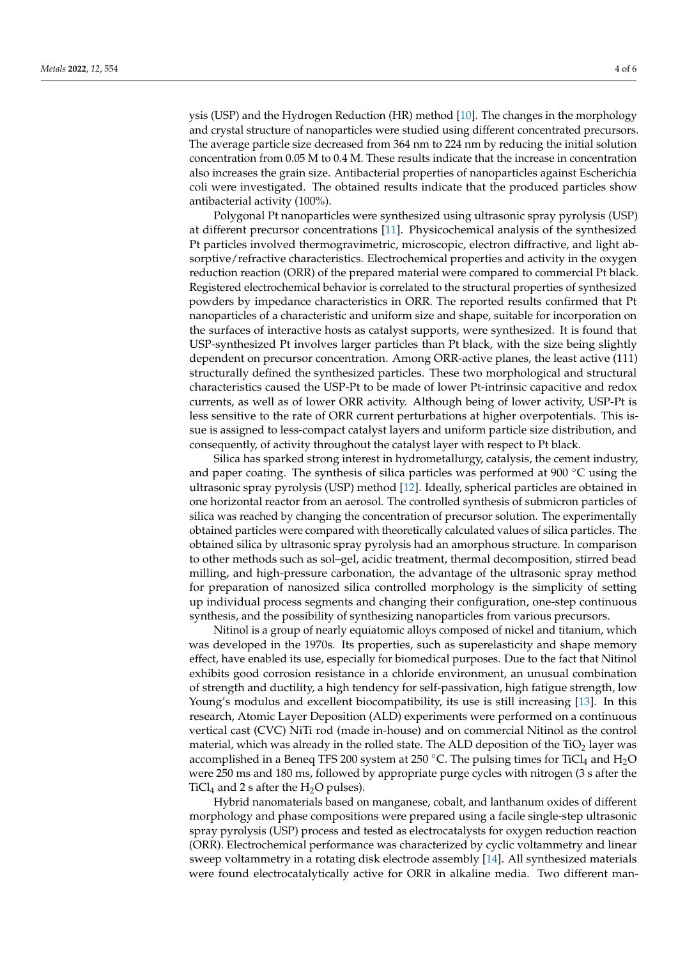ysis (USP) and the Hydrogen Reduction (HR) method [\[10\]](#page-5-3). The changes in the morphology and crystal structure of nanoparticles were studied using different concentrated precursors. The average particle size decreased from 364 nm to 224 nm by reducing the initial solution concentration from 0.05 M to 0.4 M. These results indicate that the increase in concentration also increases the grain size. Antibacterial properties of nanoparticles against Escherichia coli were investigated. The obtained results indicate that the produced particles show antibacterial activity (100%).

Polygonal Pt nanoparticles were synthesized using ultrasonic spray pyrolysis (USP) at different precursor concentrations [\[11\]](#page-5-4). Physicochemical analysis of the synthesized Pt particles involved thermogravimetric, microscopic, electron diffractive, and light absorptive/refractive characteristics. Electrochemical properties and activity in the oxygen reduction reaction (ORR) of the prepared material were compared to commercial Pt black. Registered electrochemical behavior is correlated to the structural properties of synthesized powders by impedance characteristics in ORR. The reported results confirmed that Pt nanoparticles of a characteristic and uniform size and shape, suitable for incorporation on the surfaces of interactive hosts as catalyst supports, were synthesized. It is found that USP-synthesized Pt involves larger particles than Pt black, with the size being slightly dependent on precursor concentration. Among ORR-active planes, the least active (111) structurally defined the synthesized particles. These two morphological and structural characteristics caused the USP-Pt to be made of lower Pt-intrinsic capacitive and redox currents, as well as of lower ORR activity. Although being of lower activity, USP-Pt is less sensitive to the rate of ORR current perturbations at higher overpotentials. This issue is assigned to less-compact catalyst layers and uniform particle size distribution, and consequently, of activity throughout the catalyst layer with respect to Pt black.

Silica has sparked strong interest in hydrometallurgy, catalysis, the cement industry, and paper coating. The synthesis of silica particles was performed at 900 ◦C using the ultrasonic spray pyrolysis (USP) method [\[12\]](#page-5-5). Ideally, spherical particles are obtained in one horizontal reactor from an aerosol. The controlled synthesis of submicron particles of silica was reached by changing the concentration of precursor solution. The experimentally obtained particles were compared with theoretically calculated values of silica particles. The obtained silica by ultrasonic spray pyrolysis had an amorphous structure. In comparison to other methods such as sol–gel, acidic treatment, thermal decomposition, stirred bead milling, and high-pressure carbonation, the advantage of the ultrasonic spray method for preparation of nanosized silica controlled morphology is the simplicity of setting up individual process segments and changing their configuration, one-step continuous synthesis, and the possibility of synthesizing nanoparticles from various precursors.

Nitinol is a group of nearly equiatomic alloys composed of nickel and titanium, which was developed in the 1970s. Its properties, such as superelasticity and shape memory effect, have enabled its use, especially for biomedical purposes. Due to the fact that Nitinol exhibits good corrosion resistance in a chloride environment, an unusual combination of strength and ductility, a high tendency for self-passivation, high fatigue strength, low Young's modulus and excellent biocompatibility, its use is still increasing [\[13\]](#page-5-6). In this research, Atomic Layer Deposition (ALD) experiments were performed on a continuous vertical cast (CVC) NiTi rod (made in-house) and on commercial Nitinol as the control material, which was already in the rolled state. The ALD deposition of the  $TiO<sub>2</sub>$  layer was accomplished in a Beneq TFS 200 system at 250 °C. The pulsing times for TiCl<sub>4</sub> and H<sub>2</sub>O were 250 ms and 180 ms, followed by appropriate purge cycles with nitrogen (3 s after the TiCl<sub>4</sub> and 2 s after the  $H_2O$  pulses).

Hybrid nanomaterials based on manganese, cobalt, and lanthanum oxides of different morphology and phase compositions were prepared using a facile single-step ultrasonic spray pyrolysis (USP) process and tested as electrocatalysts for oxygen reduction reaction (ORR). Electrochemical performance was characterized by cyclic voltammetry and linear sweep voltammetry in a rotating disk electrode assembly [\[14\]](#page-5-7). All synthesized materials were found electrocatalytically active for ORR in alkaline media. Two different man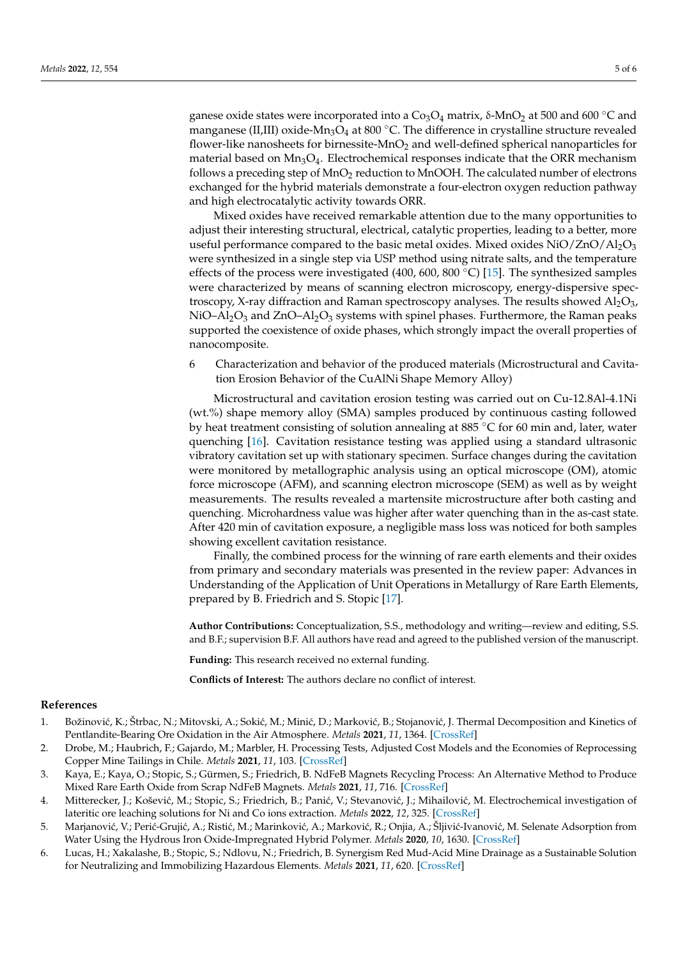ganese oxide states were incorporated into a  $Co<sub>3</sub>O<sub>4</sub>$  matrix, δ-MnO<sub>2</sub> at 500 and 600 °C and manganese (II,III) oxide-Mn<sub>3</sub>O<sub>4</sub> at 800 °C. The difference in crystalline structure revealed flower-like nanosheets for birnessite- $MnO<sub>2</sub>$  and well-defined spherical nanoparticles for material based on  $Mn_3O_4$ . Electrochemical responses indicate that the ORR mechanism follows a preceding step of MnO<sup>2</sup> reduction to MnOOH. The calculated number of electrons exchanged for the hybrid materials demonstrate a four-electron oxygen reduction pathway and high electrocatalytic activity towards ORR.

Mixed oxides have received remarkable attention due to the many opportunities to adjust their interesting structural, electrical, catalytic properties, leading to a better, more useful performance compared to the basic metal oxides. Mixed oxides  $NiO/ZnO/Al_2O_3$ were synthesized in a single step via USP method using nitrate salts, and the temperature effects of the process were investigated (400, 600, 800 °C) [\[15\]](#page-5-8). The synthesized samples were characterized by means of scanning electron microscopy, energy-dispersive spectroscopy, X-ray diffraction and Raman spectroscopy analyses. The results showed  $Al_2O_3$ , NiO–Al<sub>2</sub>O<sub>3</sub> and ZnO–Al<sub>2</sub>O<sub>3</sub> systems with spinel phases. Furthermore, the Raman peaks supported the coexistence of oxide phases, which strongly impact the overall properties of nanocomposite.

6 Characterization and behavior of the produced materials (Microstructural and Cavitation Erosion Behavior of the CuAlNi Shape Memory Alloy)

Microstructural and cavitation erosion testing was carried out on Cu-12.8Al-4.1Ni (wt.%) shape memory alloy (SMA) samples produced by continuous casting followed by heat treatment consisting of solution annealing at 885 ◦C for 60 min and, later, water quenching [\[16\]](#page-5-9). Cavitation resistance testing was applied using a standard ultrasonic vibratory cavitation set up with stationary specimen. Surface changes during the cavitation were monitored by metallographic analysis using an optical microscope (OM), atomic force microscope (AFM), and scanning electron microscope (SEM) as well as by weight measurements. The results revealed a martensite microstructure after both casting and quenching. Microhardness value was higher after water quenching than in the as-cast state. After 420 min of cavitation exposure, a negligible mass loss was noticed for both samples showing excellent cavitation resistance.

Finally, the combined process for the winning of rare earth elements and their oxides from primary and secondary materials was presented in the review paper: Advances in Understanding of the Application of Unit Operations in Metallurgy of Rare Earth Elements, prepared by B. Friedrich and S. Stopic [\[17\]](#page-5-10).

**Author Contributions:** Conceptualization, S.S., methodology and writing—review and editing, S.S. and B.F.; supervision B.F. All authors have read and agreed to the published version of the manuscript.

**Funding:** This research received no external funding.

**Conflicts of Interest:** The authors declare no conflict of interest.

## **References**

- <span id="page-4-0"></span>1. Božinović, K.; Štrbac, N.; Mitovski, A.; Sokić, M.; Minić, D.; Marković, B.; Stojanović, J. Thermal Decomposition and Kinetics of Pentlandite-Bearing Ore Oxidation in the Air Atmosphere. *Metals* **2021**, *11*, 1364. [\[CrossRef\]](http://doi.org/10.3390/met11091364)
- <span id="page-4-1"></span>2. Drobe, M.; Haubrich, F.; Gajardo, M.; Marbler, H. Processing Tests, Adjusted Cost Models and the Economies of Reprocessing Copper Mine Tailings in Chile. *Metals* **2021**, *11*, 103. [\[CrossRef\]](http://doi.org/10.3390/met11010103)
- <span id="page-4-2"></span>3. Kaya, E.; Kaya, O.; Stopic, S.; Gürmen, S.; Friedrich, B. NdFeB Magnets Recycling Process: An Alternative Method to Produce Mixed Rare Earth Oxide from Scrap NdFeB Magnets. *Metals* **2021**, *11*, 716. [\[CrossRef\]](http://doi.org/10.3390/met11050716)
- <span id="page-4-3"></span>4. Mitterecker, J.; Košević, M.; Stopic, S.; Friedrich, B.; Panić, V.; Stevanović, J.; Mihailović, M. Electrochemical investigation of lateritic ore leaching solutions for Ni and Co ions extraction. *Metals* **2022**, *12*, 325. [\[CrossRef\]](http://doi.org/10.3390/met12020325)
- <span id="page-4-4"></span>5. Marjanović, V.; Perić-Grujić, A.; Ristić, M.; Marinković, A.; Marković, R.; Onjia, A.; Šljivić-Ivanović, M. Selenate Adsorption from Water Using the Hydrous Iron Oxide-Impregnated Hybrid Polymer. *Metals* **2020**, *10*, 1630. [\[CrossRef\]](http://doi.org/10.3390/met10121630)
- <span id="page-4-5"></span>6. Lucas, H.; Xakalashe, B.; Stopic, S.; Ndlovu, N.; Friedrich, B. Synergism Red Mud-Acid Mine Drainage as a Sustainable Solution for Neutralizing and Immobilizing Hazardous Elements. *Metals* **2021**, *11*, 620. [\[CrossRef\]](http://doi.org/10.3390/met11040620)